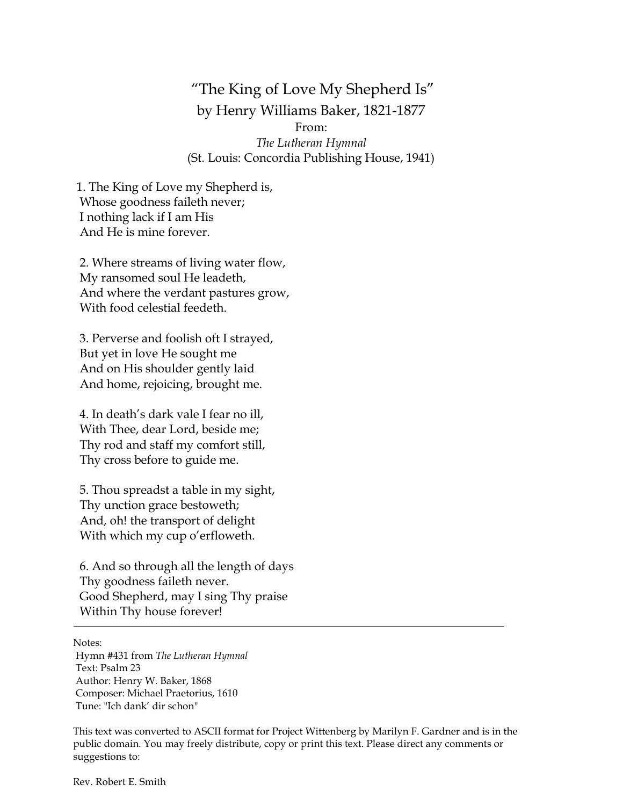"The King of Love My Shepherd Is" by Henry Williams Baker, 1821-1877 From:

*The Lutheran Hymnal* (St. Louis: Concordia Publishing House, 1941)

1. The King of Love my Shepherd is, Whose goodness faileth never; I nothing lack if I am His And He is mine forever.

2. Where streams of living water flow, My ransomed soul He leadeth, And where the verdant pastures grow, With food celestial feedeth.

3. Perverse and foolish oft I strayed, But yet in love He sought me And on His shoulder gently laid And home, rejoicing, brought me.

4. In death's dark vale I fear no ill, With Thee, dear Lord, beside me; Thy rod and staff my comfort still, Thy cross before to guide me.

5. Thou spreadst a table in my sight, Thy unction grace bestoweth; And, oh! the transport of delight With which my cup o'erfloweth.

6. And so through all the length of days Thy goodness faileth never. Good Shepherd, may I sing Thy praise Within Thy house forever!

Notes:

Hymn #431 from *The Lutheran Hymnal* Text: Psalm 23 Author: Henry W. Baker, 1868 Composer: Michael Praetorius, 1610 Tune: "Ich dank' dir schon"

This text was converted to ASCII format for Project Wittenberg by Marilyn F. Gardner and is in the public domain. You may freely distribute, copy or print this text. Please direct any comments or suggestions to:

Rev. Robert E. Smith